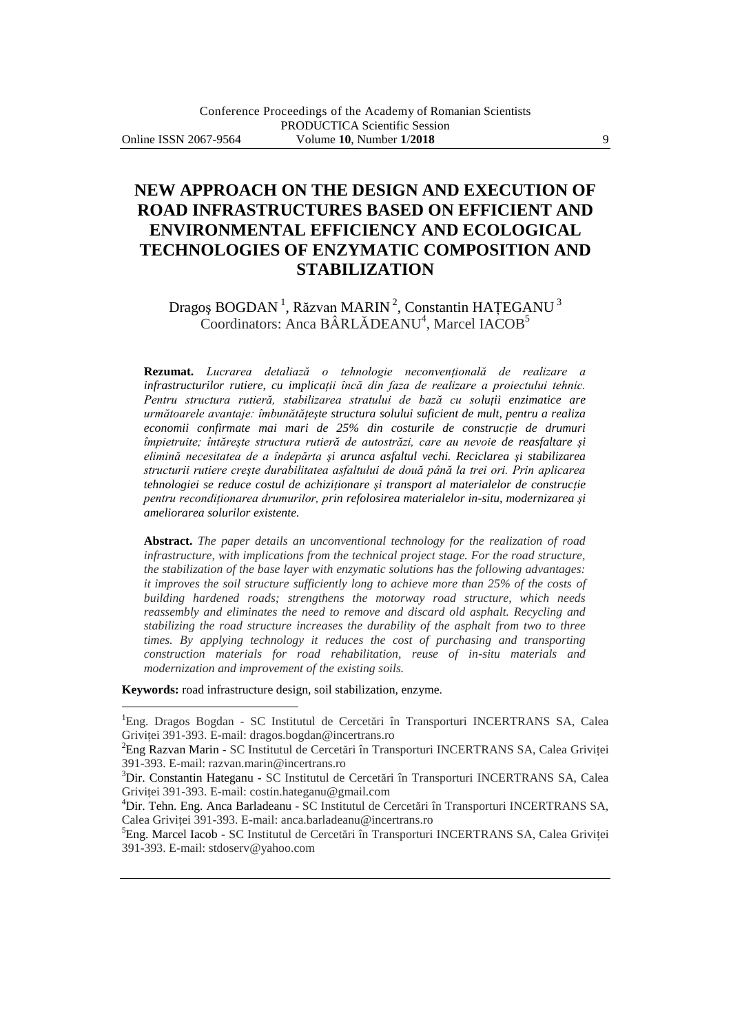# **NEW APPROACH ON THE DESIGN AND EXECUTION OF ROAD INFRASTRUCTURES BASED ON EFFICIENT AND ENVIRONMENTAL EFFICIENCY AND ECOLOGICAL TECHNOLOGIES OF ENZYMATIC COMPOSITION AND STABILIZATION**

## Dragoș BOGDAN<sup>1</sup>, Răzvan MARIN<sup>2</sup>, Constantin HAȚEGANU<sup>3</sup> Coordinators: Anca BÂRLĂDEANU<sup>4</sup>, Marcel IACOB<sup>5</sup>

**Rezumat.** *Lucrarea detaliază o tehnologie neconvenţională de realizare a infrastructurilor rutiere, cu implicatii încă din faza de realizare a proiectului tehnic.* Pentru structura rutieră, stabilizarea stratului de bază cu soluții enzimatice are *următoarele avantaje: îmbunătăţeşte structura solului suficient de mult, pentru a realiza economii confirmate mai mari de 25% din costurile de construcţie de drumuri împietruite; întăreşte structura rutieră de autostrăzi, care au nevoie de reasfaltare şi elimină necesitatea de a îndepărta şi arunca asfaltul vechi. Reciclarea şi stabilizarea structurii rutiere creşte durabilitatea asfaltului de două până la trei ori. Prin aplicarea tehnologiei se reduce costul de achiziţionare şi transport al materialelor de construcţie pentru recondiţionarea drumurilor, prin refolosirea materialelor in-situ, modernizarea şi ameliorarea solurilor existente.*

**Abstract.** *The paper details an unconventional technology for the realization of road infrastructure, with implications from the technical project stage. For the road structure, the stabilization of the base layer with enzymatic solutions has the following advantages: it improves the soil structure sufficiently long to achieve more than 25% of the costs of building hardened roads; strengthens the motorway road structure, which needs reassembly and eliminates the need to remove and discard old asphalt. Recycling and stabilizing the road structure increases the durability of the asphalt from two to three times. By applying technology it reduces the cost of purchasing and transporting construction materials for road rehabilitation, reuse of in-situ materials and modernization and improvement of the existing soils.*

**Keywords:** road infrastructure design, soil stabilization, enzyme.

 $\overline{a}$ 

<sup>&</sup>lt;sup>1</sup>Eng. Dragos Bogdan - SC Institutul de Cercetări în Transporturi INCERTRANS SA, Calea Grivitei 391-393. E-mail: dragos.bogdan@incertrans.ro

<sup>2</sup>Eng Razvan Marin - SC Institutul de Cercetări în Transporturi INCERTRANS SA, Calea Griviţei 391-393. E-mail: razvan.marin@incertrans.ro

<sup>3</sup>Dir. Constantin Hateganu - SC Institutul de Cercetări în Transporturi INCERTRANS SA, Calea Grivitei 391-393. E-mail: costin.hateganu@gmail.com

<sup>4</sup>Dir. Tehn. Eng. Anca Barladeanu - SC Institutul de Cercetări în Transporturi INCERTRANS SA, Calea Griviţei 391-393. E-mail: anca.barladeanu@incertrans.ro

<sup>&</sup>lt;sup>5</sup>Eng. Marcel Iacob - SC Institutul de Cercetări în Transporturi INCERTRANS SA, Calea Griviței 391-393. E-mail: stdoserv@yahoo.com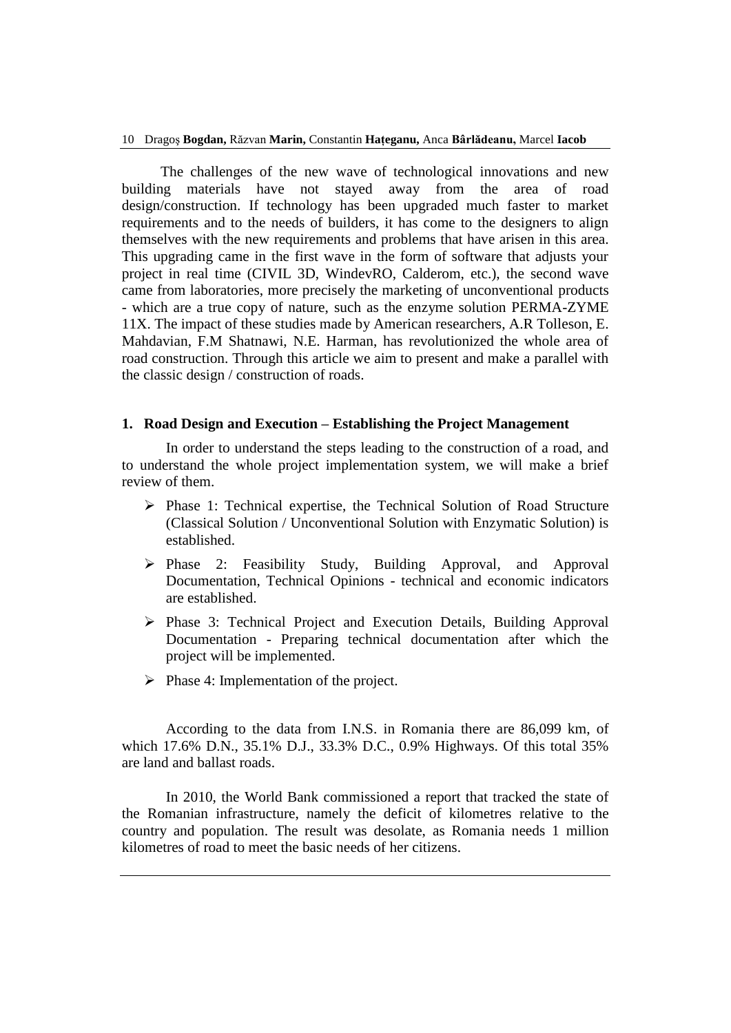The challenges of the new wave of technological innovations and new building materials have not stayed away from the area of road design/construction. If technology has been upgraded much faster to market requirements and to the needs of builders, it has come to the designers to align themselves with the new requirements and problems that have arisen in this area. This upgrading came in the first wave in the form of software that adjusts your project in real time (CIVIL 3D, WindevRO, Calderom, etc.), the second wave came from laboratories, more precisely the marketing of unconventional products - which are a true copy of nature, such as the enzyme solution PERMA-ZYME 11X. The impact of these studies made by American researchers, A.R Tolleson, E. Mahdavian, F.M Shatnawi, N.E. Harman, has revolutionized the whole area of road construction. Through this article we aim to present and make a parallel with the classic design / construction of roads.

#### **1. Road Design and Execution – Establishing the Project Management**

In order to understand the steps leading to the construction of a road, and to understand the whole project implementation system, we will make a brief review of them.

- $\triangleright$  Phase 1: Technical expertise, the Technical Solution of Road Structure (Classical Solution / Unconventional Solution with Enzymatic Solution) is established.
- Phase 2: Feasibility Study, Building Approval, and Approval Documentation, Technical Opinions - technical and economic indicators are established.
- Phase 3: Technical Project and Execution Details, Building Approval Documentation - Preparing technical documentation after which the project will be implemented.
- $\triangleright$  Phase 4: Implementation of the project.

According to the data from I.N.S. in Romania there are 86,099 km, of which 17.6% D.N., 35.1% D.J., 33.3% D.C., 0.9% Highways. Of this total 35% are land and ballast roads.

In 2010, the World Bank commissioned a report that tracked the state of the Romanian infrastructure, namely the deficit of kilometres relative to the country and population. The result was desolate, as Romania needs 1 million kilometres of road to meet the basic needs of her citizens.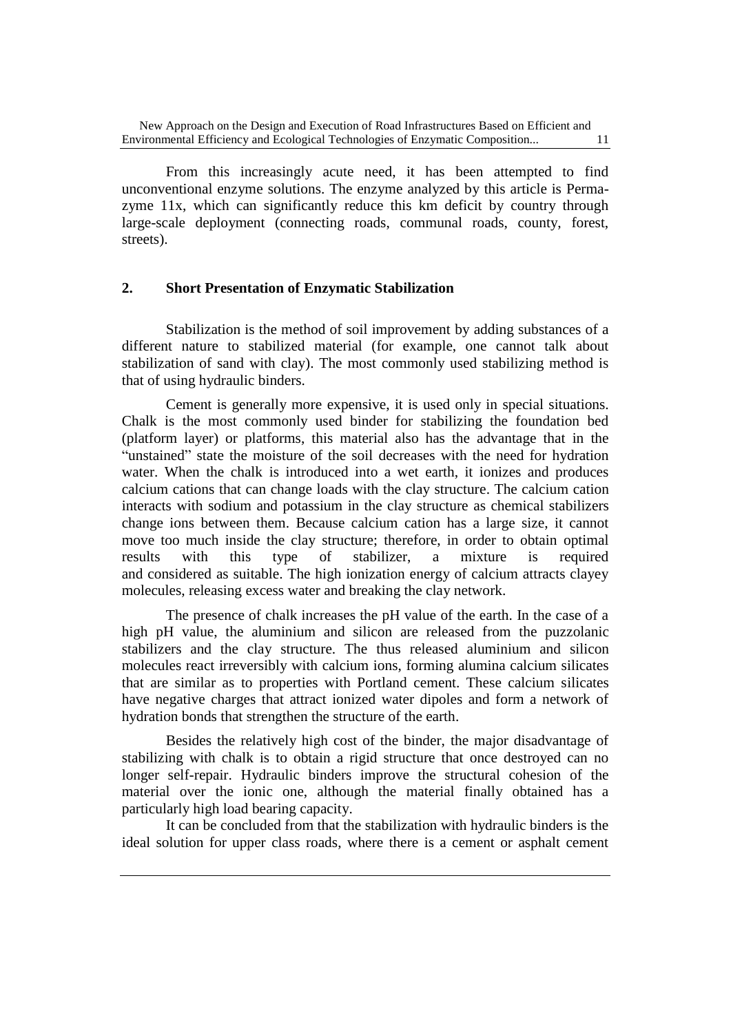From this increasingly acute need, it has been attempted to find unconventional enzyme solutions. The enzyme analyzed by this article is Permazyme 11x, which can significantly reduce this km deficit by country through large-scale deployment (connecting roads, communal roads, county, forest, streets).

#### **2. Short Presentation of Enzymatic Stabilization**

Stabilization is the method of soil improvement by adding substances of a different nature to stabilized material (for example, one cannot talk about stabilization of sand with clay). The most commonly used stabilizing method is that of using hydraulic binders.

Cement is generally more expensive, it is used only in special situations. Chalk is the most commonly used binder for stabilizing the foundation bed (platform layer) or platforms, this material also has the advantage that in the "unstained" state the moisture of the soil decreases with the need for hydration water. When the chalk is introduced into a wet earth, it ionizes and produces calcium cations that can change loads with the clay structure. The calcium cation interacts with sodium and potassium in the clay structure as chemical stabilizers change ions between them. Because calcium cation has a large size, it cannot move too much inside the clay structure; therefore, in order to obtain optimal results with this type of stabilizer, a mixture is required and considered as suitable. The high ionization energy of calcium attracts clayey molecules, releasing excess water and breaking the clay network.

The presence of chalk increases the pH value of the earth. In the case of a high pH value, the aluminium and silicon are released from the puzzolanic stabilizers and the clay structure. The thus released aluminium and silicon molecules react irreversibly with calcium ions, forming alumina calcium silicates that are similar as to properties with Portland cement. These calcium silicates have negative charges that attract ionized water dipoles and form a network of hydration bonds that strengthen the structure of the earth.

Besides the relatively high cost of the binder, the major disadvantage of stabilizing with chalk is to obtain a rigid structure that once destroyed can no longer self-repair. Hydraulic binders improve the structural cohesion of the material over the ionic one, although the material finally obtained has a particularly high load bearing capacity.

It can be concluded from that the stabilization with hydraulic binders is the ideal solution for upper class roads, where there is a cement or asphalt cement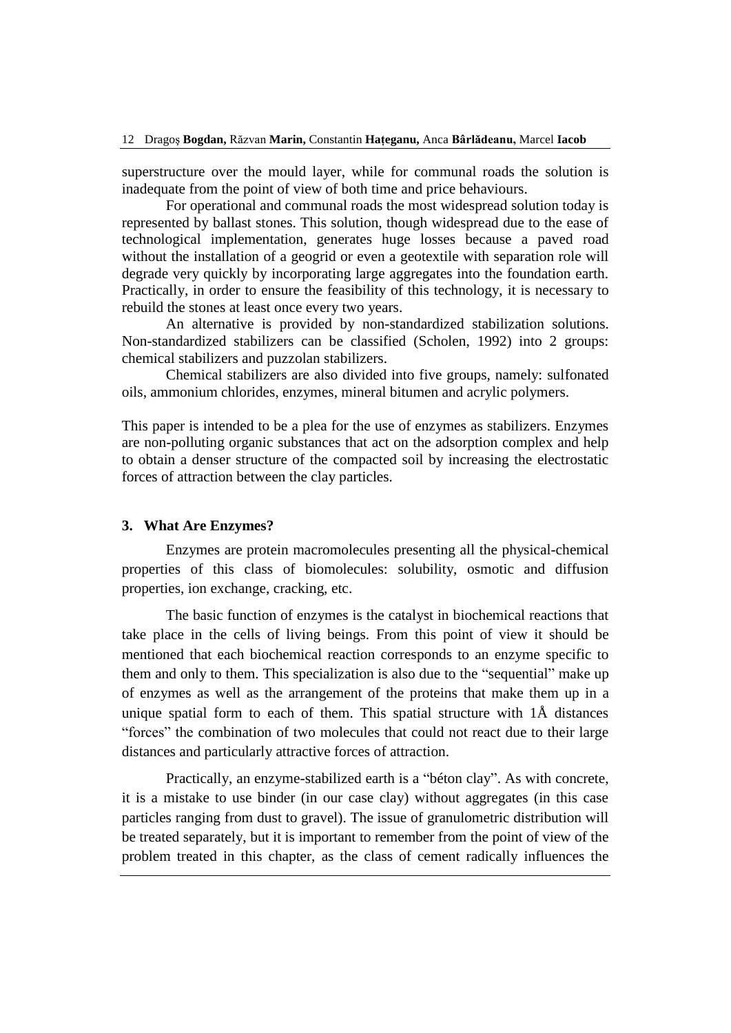superstructure over the mould layer, while for communal roads the solution is inadequate from the point of view of both time and price behaviours.

For operational and communal roads the most widespread solution today is represented by ballast stones. This solution, though widespread due to the ease of technological implementation, generates huge losses because a paved road without the installation of a geogrid or even a geotextile with separation role will degrade very quickly by incorporating large aggregates into the foundation earth. Practically, in order to ensure the feasibility of this technology, it is necessary to rebuild the stones at least once every two years.

An alternative is provided by non-standardized stabilization solutions. Non-standardized stabilizers can be classified (Scholen, 1992) into 2 groups: chemical stabilizers and puzzolan stabilizers.

Chemical stabilizers are also divided into five groups, namely: sulfonated oils, ammonium chlorides, enzymes, mineral bitumen and acrylic polymers.

This paper is intended to be a plea for the use of enzymes as stabilizers. Enzymes are non-polluting organic substances that act on the adsorption complex and help to obtain a denser structure of the compacted soil by increasing the electrostatic forces of attraction between the clay particles.

#### **3. What Are Enzymes?**

Enzymes are protein macromolecules presenting all the physical-chemical properties of this class of biomolecules: solubility, osmotic and diffusion properties, ion exchange, cracking, etc.

The basic function of enzymes is the catalyst in biochemical reactions that take place in the cells of living beings. From this point of view it should be mentioned that each biochemical reaction corresponds to an enzyme specific to them and only to them. This specialization is also due to the "sequential" make up of enzymes as well as the arrangement of the proteins that make them up in a unique spatial form to each of them. This spatial structure with 1Å distances "forces" the combination of two molecules that could not react due to their large distances and particularly attractive forces of attraction.

Practically, an enzyme-stabilized earth is a "béton clay". As with concrete, it is a mistake to use binder (in our case clay) without aggregates (in this case particles ranging from dust to gravel). The issue of granulometric distribution will be treated separately, but it is important to remember from the point of view of the problem treated in this chapter, as the class of cement radically influences the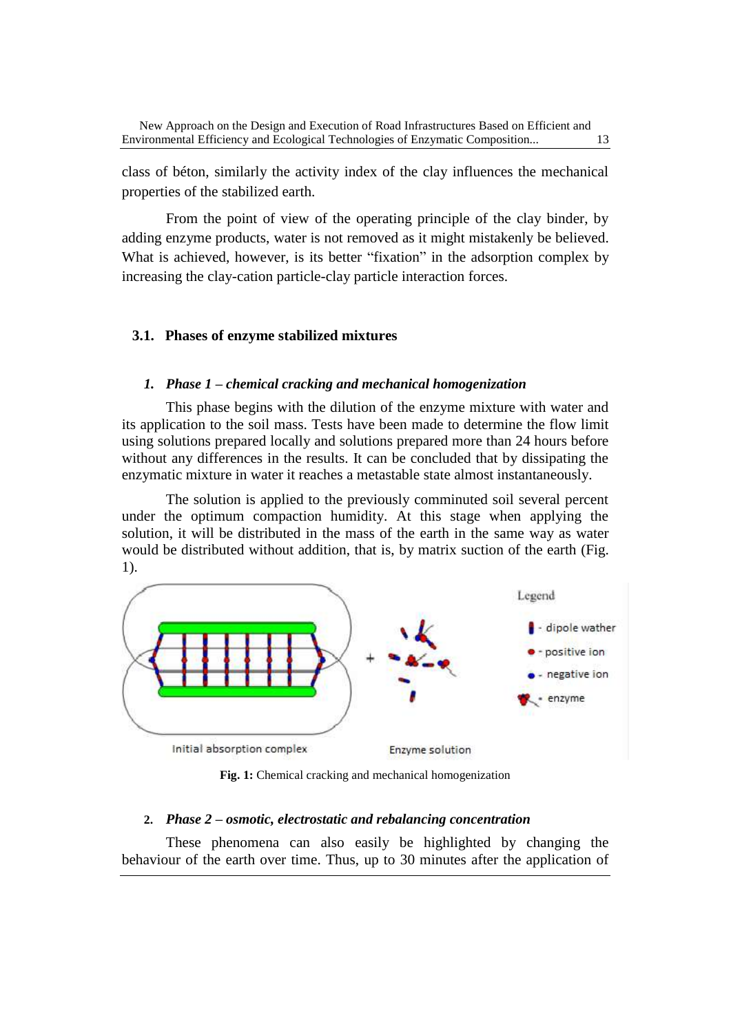class of béton, similarly the activity index of the clay influences the mechanical properties of the stabilized earth.

From the point of view of the operating principle of the clay binder, by adding enzyme products, water is not removed as it might mistakenly be believed. What is achieved, however, is its better "fixation" in the adsorption complex by increasing the clay-cation particle-clay particle interaction forces.

#### **3.1. Phases of enzyme stabilized mixtures**

#### *1. Phase 1 – chemical cracking and mechanical homogenization*

This phase begins with the dilution of the enzyme mixture with water and its application to the soil mass. Tests have been made to determine the flow limit using solutions prepared locally and solutions prepared more than 24 hours before without any differences in the results. It can be concluded that by dissipating the enzymatic mixture in water it reaches a metastable state almost instantaneously.

The solution is applied to the previously comminuted soil several percent under the optimum compaction humidity. At this stage when applying the solution, it will be distributed in the mass of the earth in the same way as water would be distributed without addition, that is, by matrix suction of the earth (Fig. 1).



**Fig. 1:** Chemical cracking and mechanical homogenization

#### **2.** *Phase 2 – osmotic, electrostatic and rebalancing concentration*

These phenomena can also easily be highlighted by changing the behaviour of the earth over time. Thus, up to 30 minutes after the application of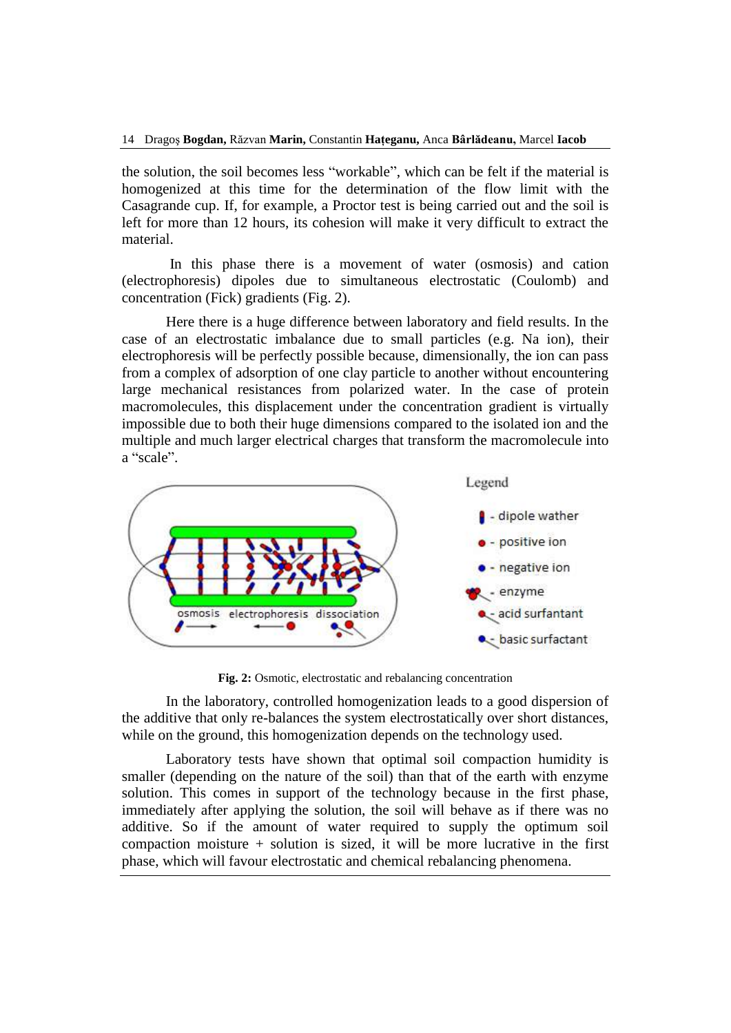the solution, the soil becomes less "workable", which can be felt if the material is homogenized at this time for the determination of the flow limit with the Casagrande cup. If, for example, a Proctor test is being carried out and the soil is left for more than 12 hours, its cohesion will make it very difficult to extract the material.

In this phase there is a movement of water (osmosis) and cation (electrophoresis) dipoles due to simultaneous electrostatic (Coulomb) and concentration (Fick) gradients (Fig. 2).

Here there is a huge difference between laboratory and field results. In the case of an electrostatic imbalance due to small particles (e.g. Na ion), their electrophoresis will be perfectly possible because, dimensionally, the ion can pass from a complex of adsorption of one clay particle to another without encountering large mechanical resistances from polarized water. In the case of protein macromolecules, this displacement under the concentration gradient is virtually impossible due to both their huge dimensions compared to the isolated ion and the multiple and much larger electrical charges that transform the macromolecule into a "scale".



**Fig. 2:** Osmotic, electrostatic and rebalancing concentration

In the laboratory, controlled homogenization leads to a good dispersion of the additive that only re-balances the system electrostatically over short distances, while on the ground, this homogenization depends on the technology used.

Laboratory tests have shown that optimal soil compaction humidity is smaller (depending on the nature of the soil) than that of the earth with enzyme solution. This comes in support of the technology because in the first phase, immediately after applying the solution, the soil will behave as if there was no additive. So if the amount of water required to supply the optimum soil compaction moisture  $+$  solution is sized, it will be more lucrative in the first phase, which will favour electrostatic and chemical rebalancing phenomena.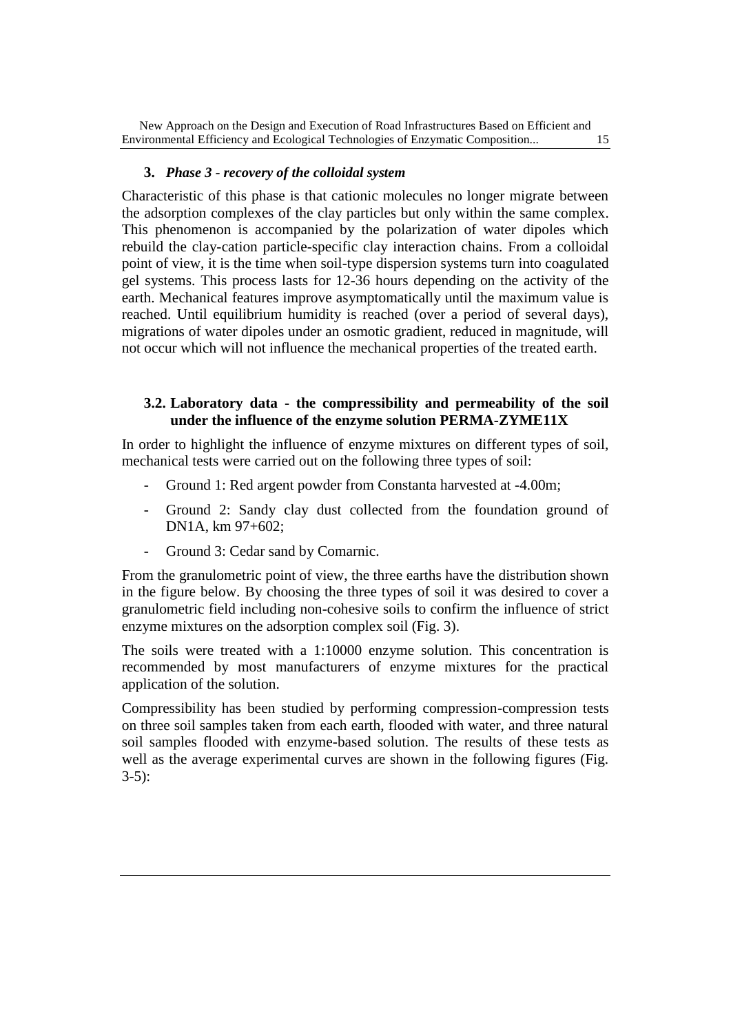#### **3.** *Phase 3 - recovery of the colloidal system*

Characteristic of this phase is that cationic molecules no longer migrate between the adsorption complexes of the clay particles but only within the same complex. This phenomenon is accompanied by the polarization of water dipoles which rebuild the clay-cation particle-specific clay interaction chains. From a colloidal point of view, it is the time when soil-type dispersion systems turn into coagulated gel systems. This process lasts for 12-36 hours depending on the activity of the earth. Mechanical features improve asymptomatically until the maximum value is reached. Until equilibrium humidity is reached (over a period of several days), migrations of water dipoles under an osmotic gradient, reduced in magnitude, will not occur which will not influence the mechanical properties of the treated earth.

### **3.2. Laboratory data - the compressibility and permeability of the soil under the influence of the enzyme solution PERMA-ZYME11X**

In order to highlight the influence of enzyme mixtures on different types of soil, mechanical tests were carried out on the following three types of soil:

- Ground 1: Red argent powder from Constanta harvested at -4.00m;
- Ground 2: Sandy clay dust collected from the foundation ground of DN1A, km 97+602;
- Ground 3: Cedar sand by Comarnic.

From the granulometric point of view, the three earths have the distribution shown in the figure below. By choosing the three types of soil it was desired to cover a granulometric field including non-cohesive soils to confirm the influence of strict enzyme mixtures on the adsorption complex soil (Fig. 3).

The soils were treated with a 1:10000 enzyme solution. This concentration is recommended by most manufacturers of enzyme mixtures for the practical application of the solution.

Compressibility has been studied by performing compression-compression tests on three soil samples taken from each earth, flooded with water, and three natural soil samples flooded with enzyme-based solution. The results of these tests as well as the average experimental curves are shown in the following figures (Fig. 3-5):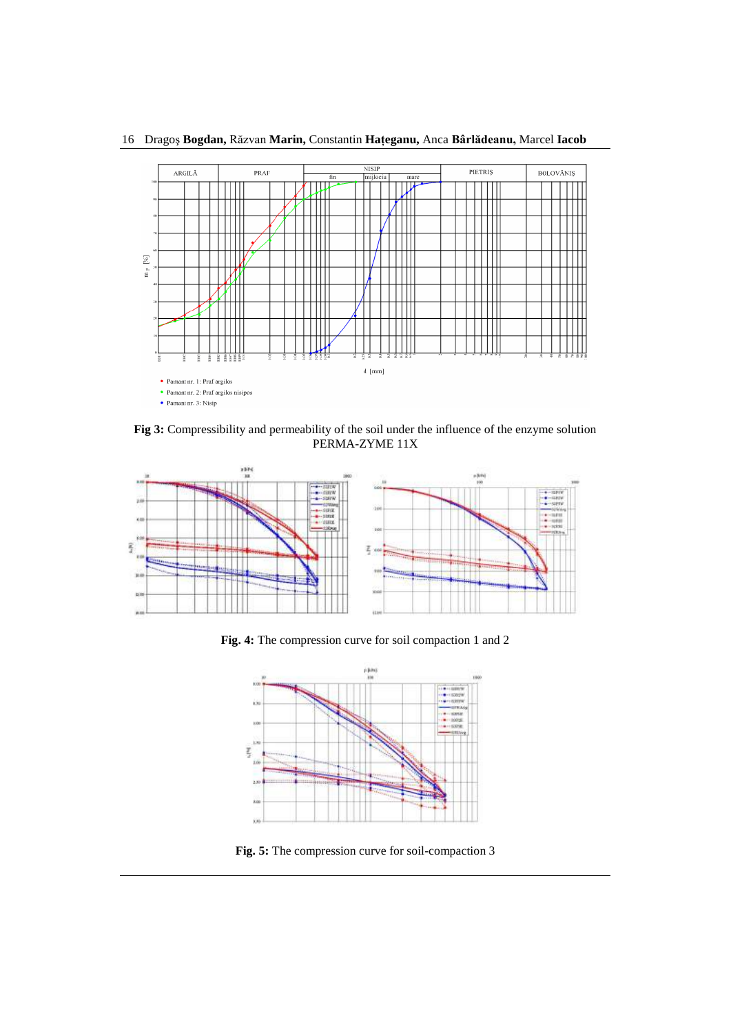

16 Dragoş **Bogdan,** Răzvan **Marin,** Constantin **Haţeganu,** Anca **Bârlădeanu,** Marcel **Iacob**

**Fig 3:** Compressibility and permeability of the soil under the influence of the enzyme solution PERMA-ZYME 11X



**Fig. 4:** The compression curve for soil compaction 1 and 2



**Fig. 5:** The compression curve for soil-compaction 3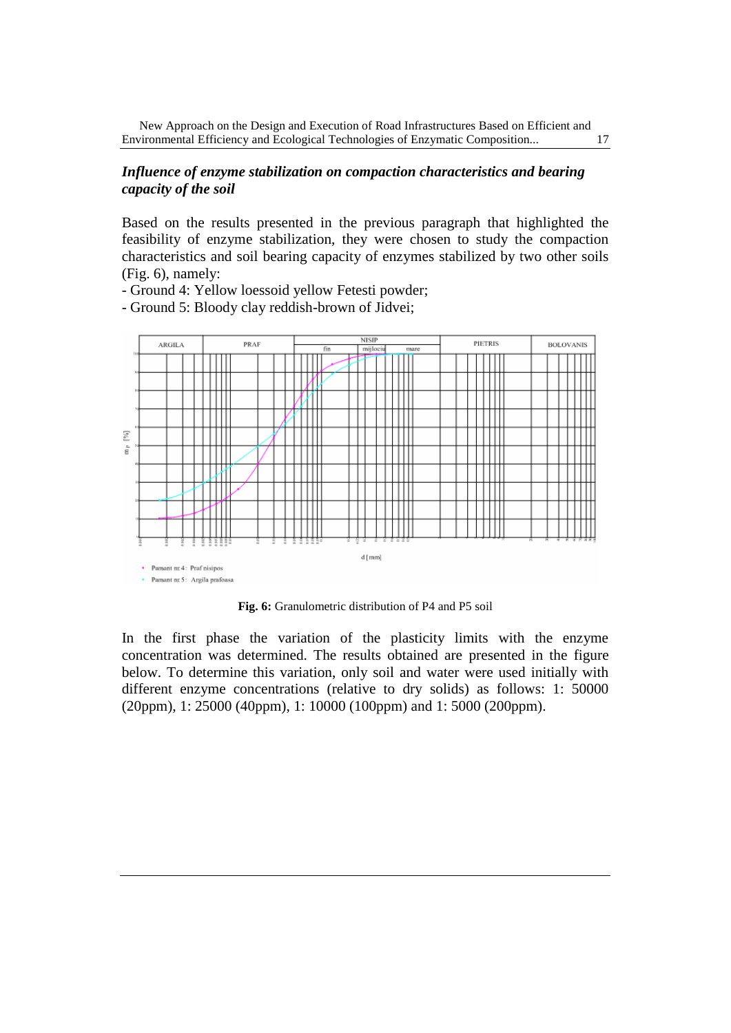#### *Influence of enzyme stabilization on compaction characteristics and bearing capacity of the soil*

Based on the results presented in the previous paragraph that highlighted the feasibility of enzyme stabilization, they were chosen to study the compaction characteristics and soil bearing capacity of enzymes stabilized by two other soils (Fig. 6), namely:

- Ground 4: Yellow loessoid yellow Fetesti powder;

- Ground 5: Bloody clay reddish-brown of Jidvei;



**Fig. 6:** Granulometric distribution of P4 and P5 soil

In the first phase the variation of the plasticity limits with the enzyme concentration was determined. The results obtained are presented in the figure below. To determine this variation, only soil and water were used initially with different enzyme concentrations (relative to dry solids) as follows: 1: 50000 (20ppm), 1: 25000 (40ppm), 1: 10000 (100ppm) and 1: 5000 (200ppm).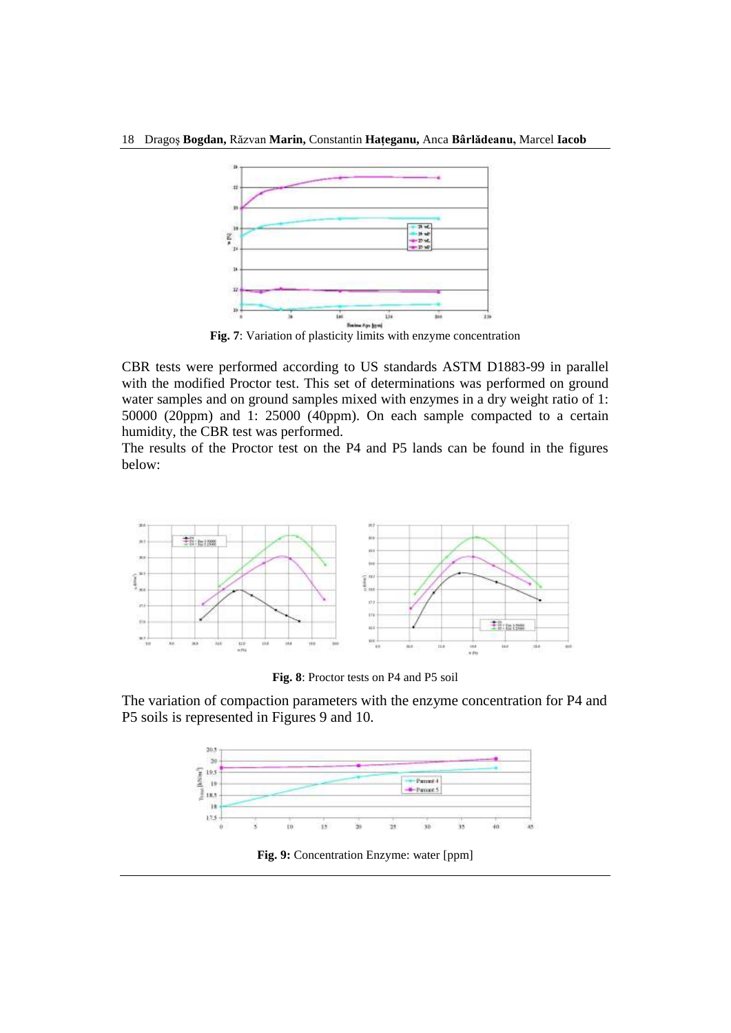

**Fig. 7**: Variation of plasticity limits with enzyme concentration

CBR tests were performed according to US standards ASTM D1883-99 in parallel with the modified Proctor test. This set of determinations was performed on ground water samples and on ground samples mixed with enzymes in a dry weight ratio of 1: 50000 (20ppm) and 1: 25000 (40ppm). On each sample compacted to a certain humidity, the CBR test was performed.

The results of the Proctor test on the P4 and P5 lands can be found in the figures below:



**Fig. 8**: Proctor tests on P4 and P5 soil

The variation of compaction parameters with the enzyme concentration for P4 and P5 soils is represented in Figures 9 and 10.



**Fig. 9:** Concentration Enzyme: water [ppm]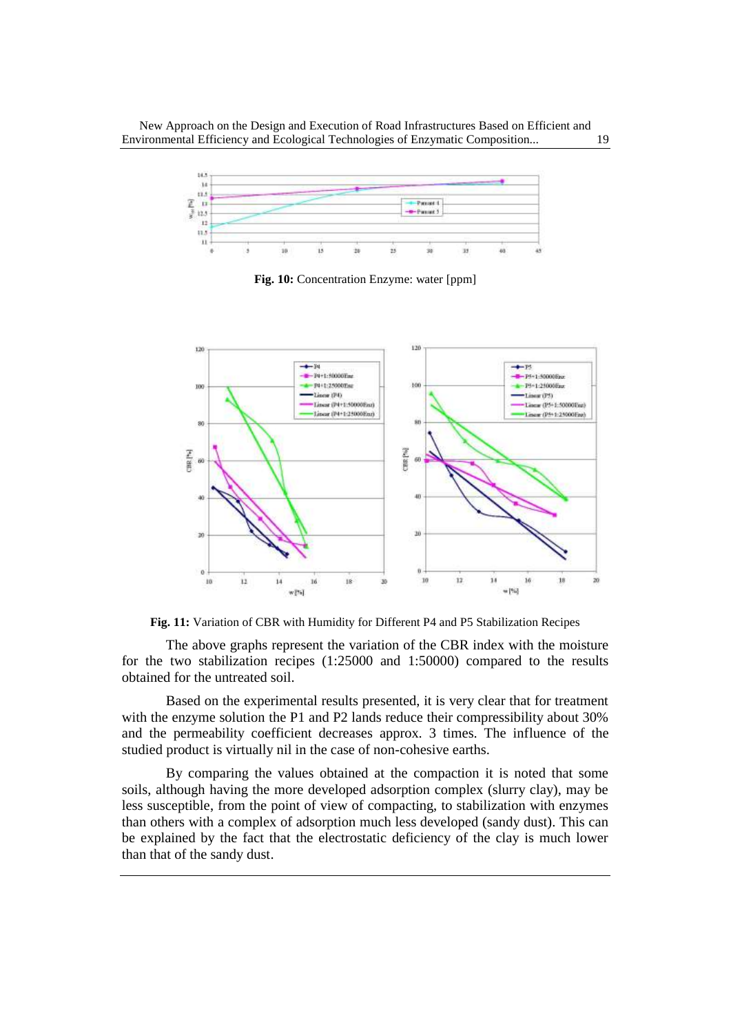New Approach on the Design and Execution of Road Infrastructures Based on Efficient and Environmental Efficiency and Ecological Technologies of Enzymatic Composition... 19



**Fig. 10:** Concentration Enzyme: water [ppm]



**Fig. 11:** Variation of CBR with Humidity for Different P4 and P5 Stabilization Recipes

The above graphs represent the variation of the CBR index with the moisture for the two stabilization recipes (1:25000 and 1:50000) compared to the results obtained for the untreated soil.

Based on the experimental results presented, it is very clear that for treatment with the enzyme solution the P1 and P2 lands reduce their compressibility about 30% and the permeability coefficient decreases approx. 3 times. The influence of the studied product is virtually nil in the case of non-cohesive earths.

By comparing the values obtained at the compaction it is noted that some soils, although having the more developed adsorption complex (slurry clay), may be less susceptible, from the point of view of compacting, to stabilization with enzymes than others with a complex of adsorption much less developed (sandy dust). This can be explained by the fact that the electrostatic deficiency of the clay is much lower than that of the sandy dust.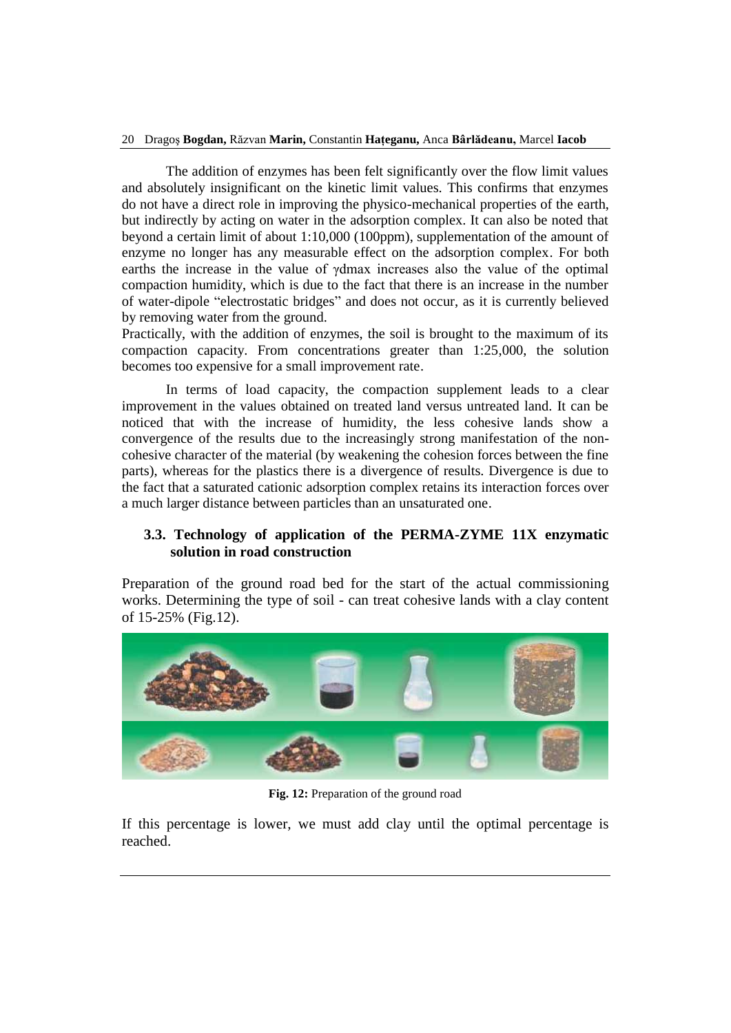#### 20 Dragoş **Bogdan,** Răzvan **Marin,** Constantin **Haţeganu,** Anca **Bârlădeanu,** Marcel **Iacob**

The addition of enzymes has been felt significantly over the flow limit values and absolutely insignificant on the kinetic limit values. This confirms that enzymes do not have a direct role in improving the physico-mechanical properties of the earth, but indirectly by acting on water in the adsorption complex. It can also be noted that beyond a certain limit of about 1:10,000 (100ppm), supplementation of the amount of enzyme no longer has any measurable effect on the adsorption complex. For both earths the increase in the value of γdmax increases also the value of the optimal compaction humidity, which is due to the fact that there is an increase in the number of water-dipole "electrostatic bridges" and does not occur, as it is currently believed by removing water from the ground.

Practically, with the addition of enzymes, the soil is brought to the maximum of its compaction capacity. From concentrations greater than 1:25,000, the solution becomes too expensive for a small improvement rate.

In terms of load capacity, the compaction supplement leads to a clear improvement in the values obtained on treated land versus untreated land. It can be noticed that with the increase of humidity, the less cohesive lands show a convergence of the results due to the increasingly strong manifestation of the noncohesive character of the material (by weakening the cohesion forces between the fine parts), whereas for the plastics there is a divergence of results. Divergence is due to the fact that a saturated cationic adsorption complex retains its interaction forces over a much larger distance between particles than an unsaturated one.

### **3.3. Technology of application of the PERMA-ZYME 11X enzymatic solution in road construction**

Preparation of the ground road bed for the start of the actual commissioning works. Determining the type of soil - can treat cohesive lands with a clay content of 15-25% (Fig.12).



**Fig. 12:** Preparation of the ground road

If this percentage is lower, we must add clay until the optimal percentage is reached.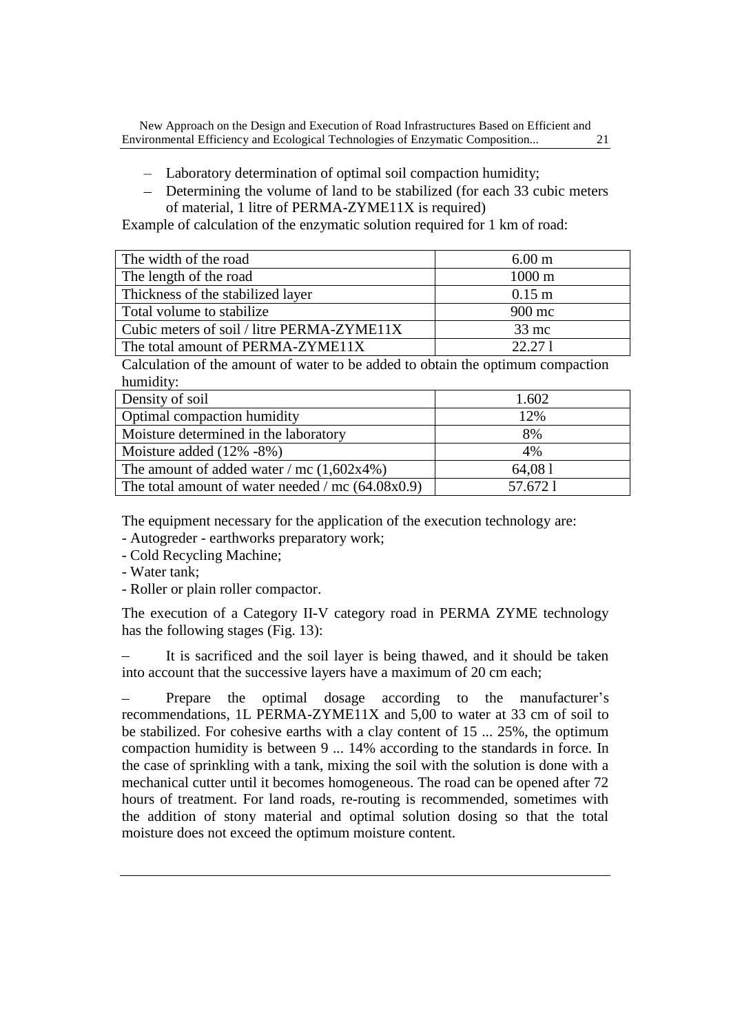- Laboratory determination of optimal soil compaction humidity;
- Determining the volume of land to be stabilized (for each 33 cubic meters of material, 1 litre of PERMA-ZYME11X is required)

Example of calculation of the enzymatic solution required for 1 km of road:

| The width of the road                      | 6.00 <sub>m</sub> |
|--------------------------------------------|-------------------|
| The length of the road                     | $1000 \text{ m}$  |
| Thickness of the stabilized layer          | $0.15$ m          |
| Total volume to stabilize                  | 900 mc            |
| Cubic meters of soil / litre PERMA-ZYME11X | $33$ mc           |
| The total amount of PERMA-ZYME11X          | 22.27.1           |

Calculation of the amount of water to be added to obtain the optimum compaction humidity:

| Density of soil                                     | 1.602   |
|-----------------------------------------------------|---------|
| Optimal compaction humidity                         | 12%     |
| Moisture determined in the laboratory               | 8%      |
| Moisture added $(12\% - 8\%)$                       | 4%      |
| The amount of added water / mc $(1,602x4\%)$        | 64,081  |
| The total amount of water needed / mc $(64.08x0.9)$ | 57.6721 |

The equipment necessary for the application of the execution technology are:

- Autogreder earthworks preparatory work;
- Cold Recycling Machine;
- Water tank;
- Roller or plain roller compactor.

The execution of a Category II-V category road in PERMA ZYME technology has the following stages (Fig. 13):

It is sacrificed and the soil layer is being thawed, and it should be taken into account that the successive layers have a maximum of 20 cm each;

Prepare the optimal dosage according to the manufacturer's recommendations, 1L PERMA-ZYME11X and 5,00 to water at 33 cm of soil to be stabilized. For cohesive earths with a clay content of 15 ... 25%, the optimum compaction humidity is between 9 ... 14% according to the standards in force. In the case of sprinkling with a tank, mixing the soil with the solution is done with a mechanical cutter until it becomes homogeneous. The road can be opened after 72 hours of treatment. For land roads, re-routing is recommended, sometimes with the addition of stony material and optimal solution dosing so that the total moisture does not exceed the optimum moisture content.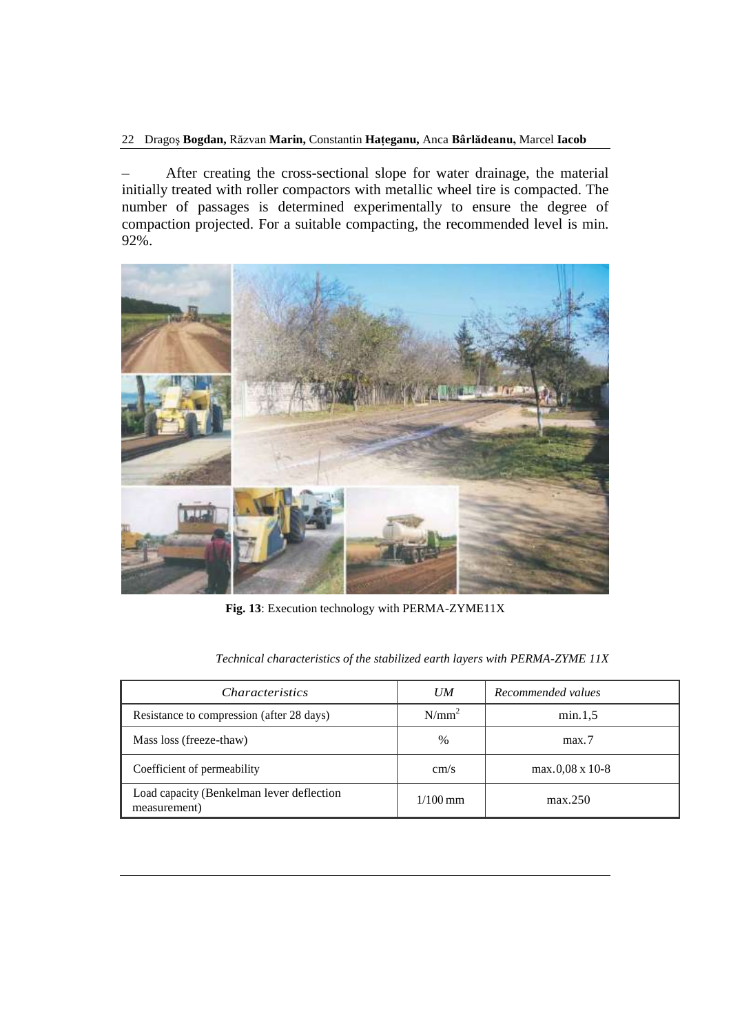22 Dragoş **Bogdan,** Răzvan **Marin,** Constantin **Haţeganu,** Anca **Bârlădeanu,** Marcel **Iacob**

After creating the cross-sectional slope for water drainage, the material initially treated with roller compactors with metallic wheel tire is compacted. The number of passages is determined experimentally to ensure the degree of compaction projected. For a suitable compacting, the recommended level is min. 92%.



**Fig. 13**: Execution technology with PERMA-ZYME11X

| <i>Characteristics</i>                                    | U M        | Recommended values     |
|-----------------------------------------------------------|------------|------------------------|
| Resistance to compression (after 28 days)                 | $N/mm^2$   | min.1.5                |
| Mass loss (freeze-thaw)                                   | $\%$       | max.7                  |
| Coefficient of permeability                               | cm/s       | $max.0.08 \times 10-8$ |
| Load capacity (Benkelman lever deflection<br>measurement) | $1/100$ mm | max.250                |

*Technical characteristics of the stabilized earth layers with PERMA-ZYME 11X*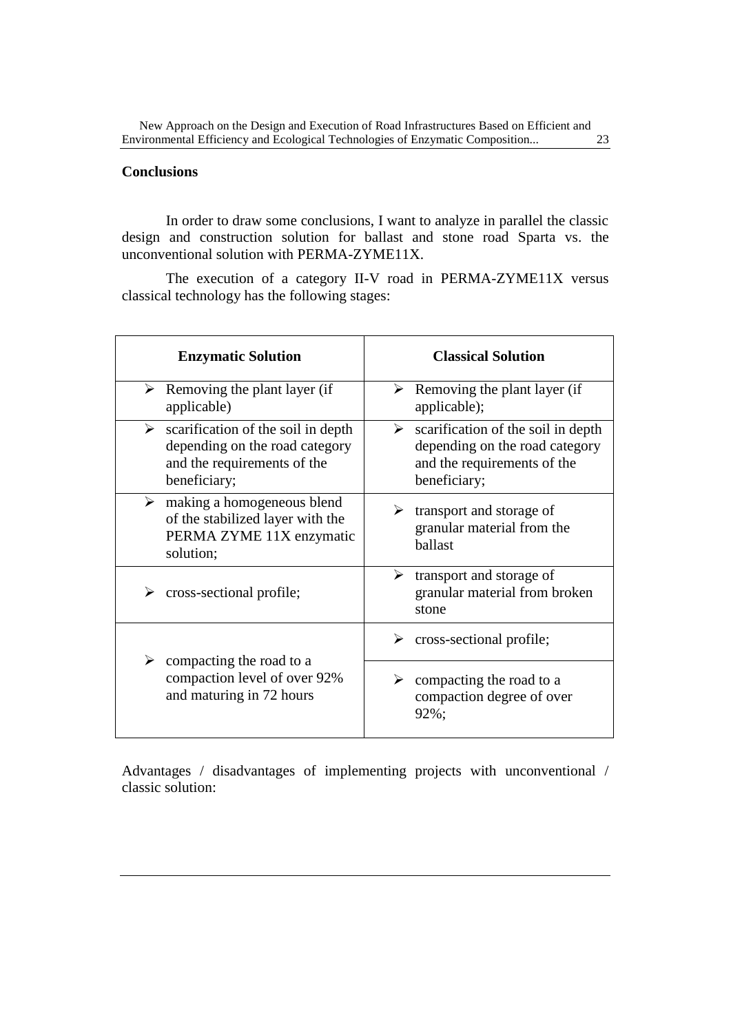## **Conclusions**

In order to draw some conclusions, I want to analyze in parallel the classic design and construction solution for ballast and stone road Sparta vs. the unconventional solution with PERMA-ZYME11X.

The execution of a category II-V road in PERMA-ZYME11X versus classical technology has the following stages:

| <b>Enzymatic Solution</b>                                                                                                            | <b>Classical Solution</b>                                                                                                |
|--------------------------------------------------------------------------------------------------------------------------------------|--------------------------------------------------------------------------------------------------------------------------|
| $\triangleright$ Removing the plant layer (if<br>applicable)                                                                         | Removing the plant layer (if<br>➤<br>applicable);                                                                        |
| $\triangleright$ scarification of the soil in depth<br>depending on the road category<br>and the requirements of the<br>beneficiary; | scarification of the soil in depth<br>➤<br>depending on the road category<br>and the requirements of the<br>beneficiary; |
| $\triangleright$ making a homogeneous blend<br>of the stabilized layer with the<br>PERMA ZYME 11X enzymatic<br>solution;             | transport and storage of<br>➤<br>granular material from the<br>ballast                                                   |
| cross-sectional profile;                                                                                                             | transport and storage of<br>➤<br>granular material from broken<br>stone                                                  |
| $\triangleright$ compacting the road to a<br>compaction level of over 92%<br>and maturing in 72 hours                                | cross-sectional profile;<br>➤                                                                                            |
|                                                                                                                                      | compacting the road to a<br>➤<br>compaction degree of over<br>92%;                                                       |

Advantages / disadvantages of implementing projects with unconventional / classic solution: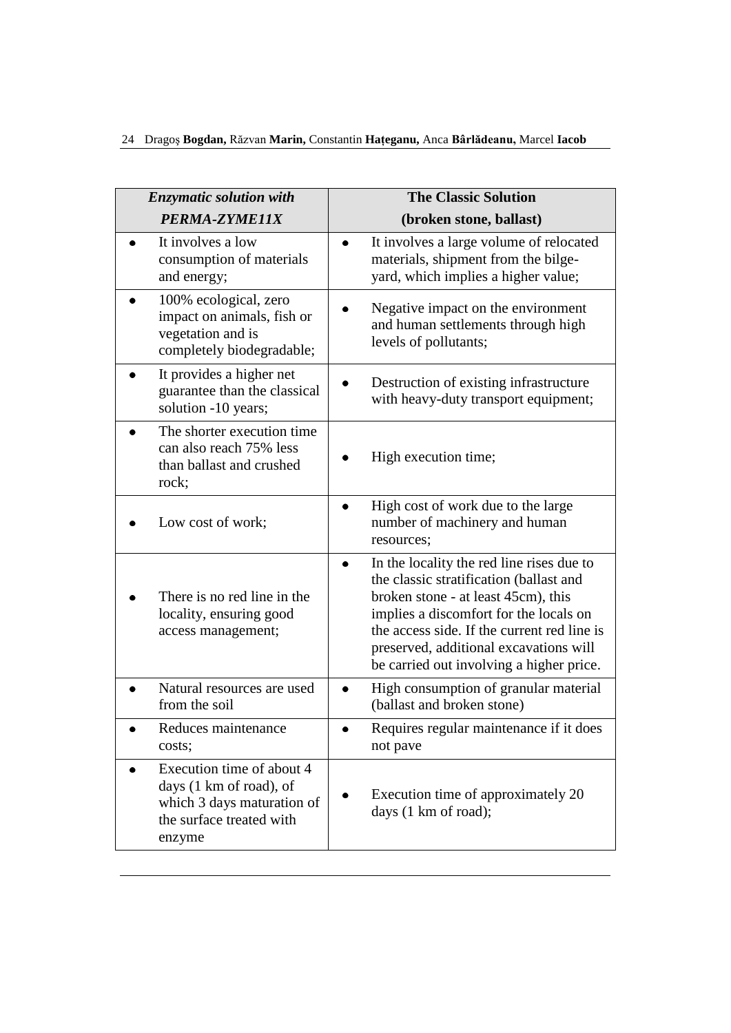| <b>Enzymatic solution with</b>                                                                                           | <b>The Classic Solution</b>                                                                                                                                                                                                                                                                                |  |
|--------------------------------------------------------------------------------------------------------------------------|------------------------------------------------------------------------------------------------------------------------------------------------------------------------------------------------------------------------------------------------------------------------------------------------------------|--|
| PERMA-ZYME11X                                                                                                            | (broken stone, ballast)                                                                                                                                                                                                                                                                                    |  |
| It involves a low<br>consumption of materials<br>and energy;                                                             | It involves a large volume of relocated<br>materials, shipment from the bilge-<br>yard, which implies a higher value;                                                                                                                                                                                      |  |
| 100% ecological, zero<br>impact on animals, fish or<br>vegetation and is<br>completely biodegradable;                    | Negative impact on the environment<br>and human settlements through high<br>levels of pollutants;                                                                                                                                                                                                          |  |
| It provides a higher net<br>guarantee than the classical<br>solution -10 years;                                          | Destruction of existing infrastructure<br>with heavy-duty transport equipment;                                                                                                                                                                                                                             |  |
| The shorter execution time<br>can also reach 75% less<br>than ballast and crushed<br>rock;                               | High execution time;                                                                                                                                                                                                                                                                                       |  |
| Low cost of work;                                                                                                        | High cost of work due to the large<br>number of machinery and human<br>resources;                                                                                                                                                                                                                          |  |
| There is no red line in the<br>locality, ensuring good<br>access management;                                             | In the locality the red line rises due to<br>the classic stratification (ballast and<br>broken stone - at least 45cm), this<br>implies a discomfort for the locals on<br>the access side. If the current red line is<br>preserved, additional excavations will<br>be carried out involving a higher price. |  |
| Natural resources are used<br>from the soil                                                                              | High consumption of granular material<br>(ballast and broken stone)                                                                                                                                                                                                                                        |  |
| Reduces maintenance<br>costs;                                                                                            | Requires regular maintenance if it does<br>not pave                                                                                                                                                                                                                                                        |  |
| Execution time of about 4<br>days (1 km of road), of<br>which 3 days maturation of<br>the surface treated with<br>enzyme | Execution time of approximately 20<br>days (1 km of road);                                                                                                                                                                                                                                                 |  |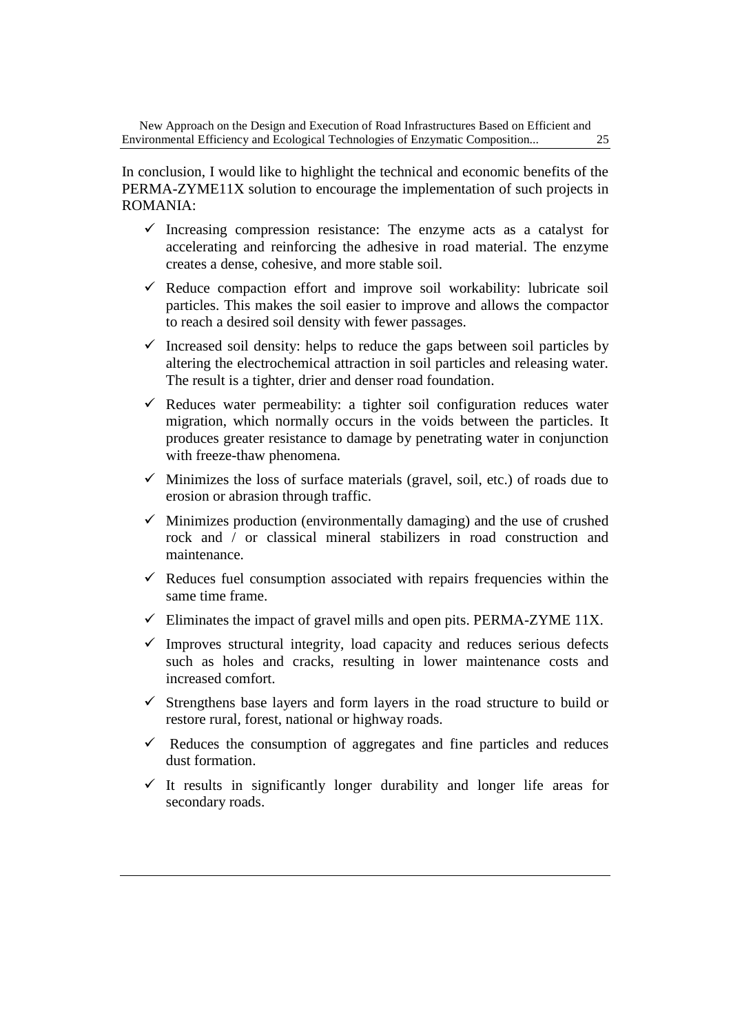In conclusion, I would like to highlight the technical and economic benefits of the PERMA-ZYME11X solution to encourage the implementation of such projects in ROMANIA:

- $\checkmark$  Increasing compression resistance: The enzyme acts as a catalyst for accelerating and reinforcing the adhesive in road material. The enzyme creates a dense, cohesive, and more stable soil.
- $\checkmark$  Reduce compaction effort and improve soil workability: lubricate soil particles. This makes the soil easier to improve and allows the compactor to reach a desired soil density with fewer passages.
- $\checkmark$  Increased soil density: helps to reduce the gaps between soil particles by altering the electrochemical attraction in soil particles and releasing water. The result is a tighter, drier and denser road foundation.
- $\checkmark$  Reduces water permeability: a tighter soil configuration reduces water migration, which normally occurs in the voids between the particles. It produces greater resistance to damage by penetrating water in conjunction with freeze-thaw phenomena.
- $\checkmark$  Minimizes the loss of surface materials (gravel, soil, etc.) of roads due to erosion or abrasion through traffic.
- $\checkmark$  Minimizes production (environmentally damaging) and the use of crushed rock and / or classical mineral stabilizers in road construction and maintenance.
- $\checkmark$  Reduces fuel consumption associated with repairs frequencies within the same time frame.
- $\checkmark$  Eliminates the impact of gravel mills and open pits. PERMA-ZYME 11X.
- $\checkmark$  Improves structural integrity, load capacity and reduces serious defects such as holes and cracks, resulting in lower maintenance costs and increased comfort.
- $\checkmark$  Strengthens base layers and form layers in the road structure to build or restore rural, forest, national or highway roads.
- $\checkmark$  Reduces the consumption of aggregates and fine particles and reduces dust formation.
- $\checkmark$  It results in significantly longer durability and longer life areas for secondary roads.